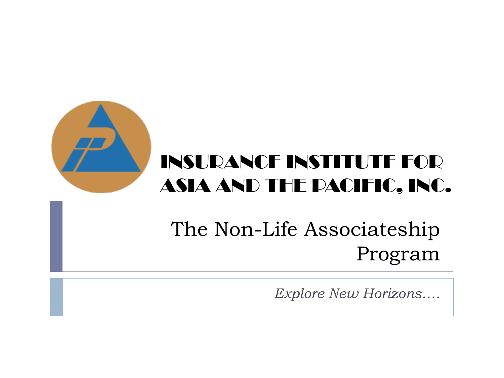

### INSURANCE INSTITUTE FOR ASIA AND THE PACIFIC, INC.

### The Non-Life Associateship Program

*Explore New Horizons….*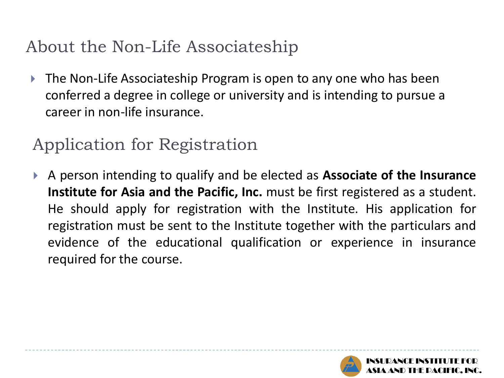### About the Non-Life Associateship

 The Non-Life Associateship Program is open to any one who has been conferred a degree in college or university and is intending to pursue a career in non-life insurance.

#### Application for Registration

 A person intending to qualify and be elected as **Associate of the Insurance Institute for Asia and the Pacific, Inc.** must be first registered as a student. He should apply for registration with the Institute. His application for registration must be sent to the Institute together with the particulars and evidence of the educational qualification or experience in insurance required for the course.

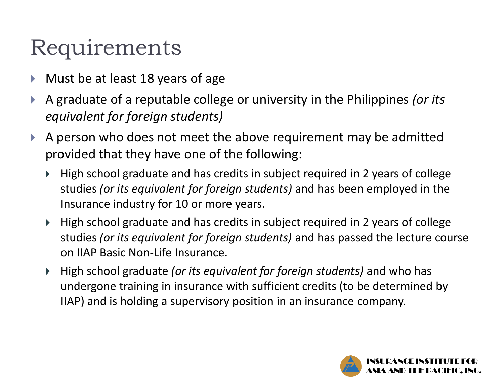# Requirements

- Must be at least 18 years of age
- A graduate of a reputable college or university in the Philippines *(or its equivalent for foreign students)*
- A person who does not meet the above requirement may be admitted provided that they have one of the following:
	- High school graduate and has credits in subject required in 2 years of college studies *(or its equivalent for foreign students)* and has been employed in the Insurance industry for 10 or more years.
	- High school graduate and has credits in subject required in 2 years of college studies *(or its equivalent for foreign students)* and has passed the lecture course on IIAP Basic Non-Life Insurance.
	- High school graduate *(or its equivalent for foreign students)* and who has undergone training in insurance with sufficient credits (to be determined by IIAP) and is holding a supervisory position in an insurance company.

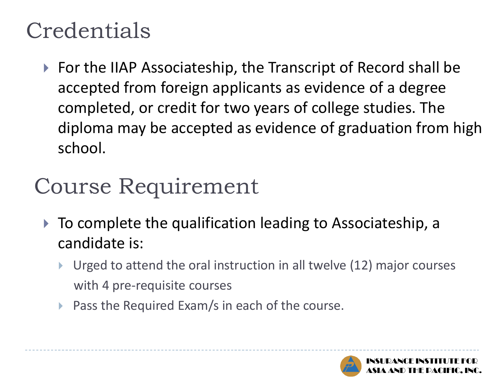# **Credentials**

▶ For the IIAP Associateship, the Transcript of Record shall be accepted from foreign applicants as evidence of a degree completed, or credit for two years of college studies. The diploma may be accepted as evidence of graduation from high school.

# Course Requirement

- ▶ To complete the qualification leading to Associateship, a candidate is:
	- Urged to attend the oral instruction in all twelve (12) major courses with 4 pre-requisite courses
	- **Pass the Required Exam/s in each of the course.**

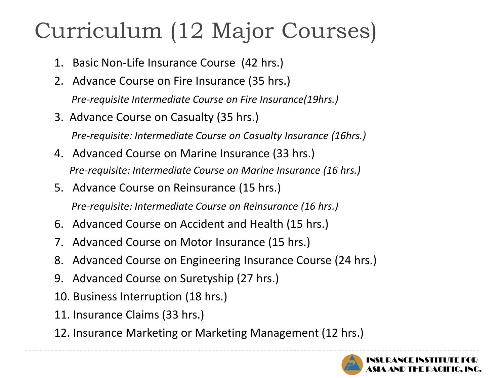# Curriculum (12 Major Courses)

- 1. Basic Non-Life Insurance Course (42 hrs.)
- 2. Advance Course on Fire Insurance (35 hrs.)

*Pre-requisite Intermediate Course on Fire Insurance(19hrs.)* 

3. Advance Course on Casualty (35 hrs.)

 *Pre-requisite: Intermediate Course on Casualty Insurance (16hrs.)*

- 4. Advanced Course on Marine Insurance (33 hrs.) *Pre-requisite: Intermediate Course on Marine Insurance (16 hrs.)*
- 5. Advance Course on Reinsurance (15 hrs.) *Pre-requisite: Intermediate Course on Reinsurance (16 hrs.)*
- 6. Advanced Course on Accident and Health (15 hrs.)
- 7. Advanced Course on Motor Insurance (15 hrs.)
- 8. Advanced Course on Engineering Insurance Course (24 hrs.)
- 9. Advanced Course on Suretyship (27 hrs.)
- 10. Business Interruption (18 hrs.)
- 11. Insurance Claims (33 hrs.)
- 12. Insurance Marketing or Marketing Management (12 hrs.)

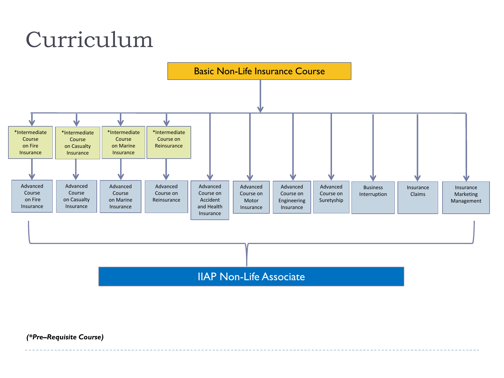# Curriculum



IIAP Non-Life Associate

*(\*Pre–Requisite Course)*